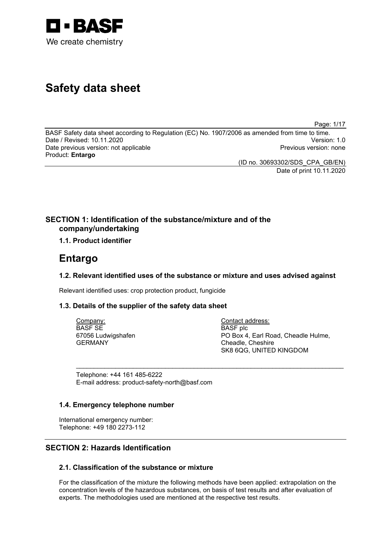

# **Safety data sheet**

Page: 1/17

BASF Safety data sheet according to Regulation (EC) No. 1907/2006 as amended from time to time. Date / Revised: 10.11.2020 Version: 1.0 Date previous version: not applicable Product: **Entargo**

(ID no. 30693302/SDS\_CPA\_GB/EN) Date of print 10.11.2020

## **SECTION 1: Identification of the substance/mixture and of the company/undertaking**

## **1.1. Product identifier**

## **Entargo**

## **1.2. Relevant identified uses of the substance or mixture and uses advised against**

\_\_\_\_\_\_\_\_\_\_\_\_\_\_\_\_\_\_\_\_\_\_\_\_\_\_\_\_\_\_\_\_\_\_\_\_\_\_\_\_\_\_\_\_\_\_\_\_\_\_\_\_\_\_\_\_\_\_\_\_\_\_\_\_\_\_\_\_\_\_\_\_\_\_\_

Relevant identified uses: crop protection product, fungicide

## **1.3. Details of the supplier of the safety data sheet**

Company: BASF SE 67056 Ludwigshafen GERMANY

Contact address: BASF plc PO Box 4, Earl Road, Cheadle Hulme, Cheadle, Cheshire SK8 6QG, UNITED KINGDOM

Telephone: +44 161 485-6222 E-mail address: product-safety-north@basf.com

## **1.4. Emergency telephone number**

International emergency number: Telephone: +49 180 2273-112

## **SECTION 2: Hazards Identification**

## **2.1. Classification of the substance or mixture**

For the classification of the mixture the following methods have been applied: extrapolation on the concentration levels of the hazardous substances, on basis of test results and after evaluation of experts. The methodologies used are mentioned at the respective test results.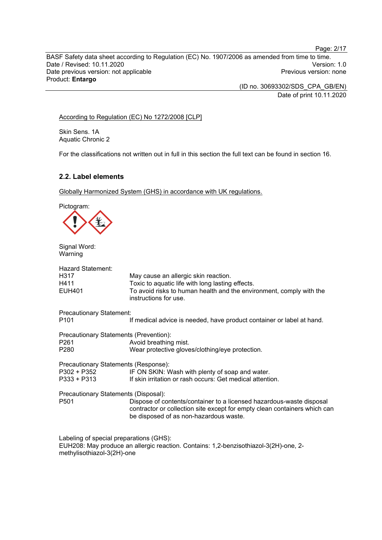BASF Safety data sheet according to Regulation (EC) No. 1907/2006 as amended from time to time. Date / Revised: 10.11.2020<br>
Date previous version: not applicable<br>
Date previous version: not applicable<br>
Date previous version: none Date previous version: not applicable Product: **Entargo**

> (ID no. 30693302/SDS\_CPA\_GB/EN) Date of print 10.11.2020

## According to Regulation (EC) No 1272/2008 [CLP]

Skin Sens. 1A Aquatic Chronic 2

For the classifications not written out in full in this section the full text can be found in section 16.

## **2.2. Label elements**

Globally Harmonized System (GHS) in accordance with UK regulations.

Pictogram:



Signal Word: Warning

| <b>Hazard Statement:</b><br>H317<br>H411<br>EUH401                             | May cause an allergic skin reaction.<br>Toxic to aquatic life with long lasting effects.<br>To avoid risks to human health and the environment, comply with the<br>instructions for use.    |
|--------------------------------------------------------------------------------|---------------------------------------------------------------------------------------------------------------------------------------------------------------------------------------------|
| <b>Precautionary Statement:</b><br>P <sub>101</sub>                            | If medical advice is needed, have product container or label at hand.                                                                                                                       |
| Precautionary Statements (Prevention):<br>P <sub>261</sub><br>P <sub>280</sub> | Avoid breathing mist.<br>Wear protective gloves/clothing/eye protection.                                                                                                                    |
| Precautionary Statements (Response):<br>P302 + P352<br>P333 + P313             | IF ON SKIN: Wash with plenty of soap and water.<br>If skin irritation or rash occurs: Get medical attention.                                                                                |
| Precautionary Statements (Disposal):<br>P <sub>501</sub>                       | Dispose of contents/container to a licensed hazardous-waste disposal<br>contractor or collection site except for empty clean containers which can<br>be disposed of as non-hazardous waste. |

Labeling of special preparations (GHS): EUH208: May produce an allergic reaction. Contains: 1,2-benzisothiazol-3(2H)-one, 2 methylisothiazol-3(2H)-one

Page: 2/17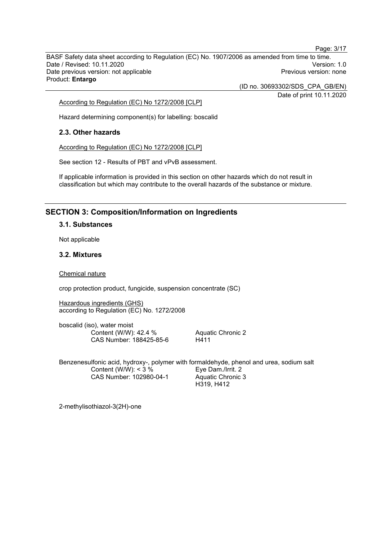BASF Safety data sheet according to Regulation (EC) No. 1907/2006 as amended from time to time. Date / Revised: 10.11.2020<br>
Date previous version: not applicable<br>
Date previous version: not applicable<br>
Date previous version: none Date previous version: not applicable Product: **Entargo**

(ID no. 30693302/SDS\_CPA\_GB/EN)

Date of print 10.11.2020

Page: 3/17

According to Regulation (EC) No 1272/2008 [CLP]

Hazard determining component(s) for labelling: boscalid

### **2.3. Other hazards**

According to Regulation (EC) No 1272/2008 [CLP]

See section 12 - Results of PBT and vPvB assessment.

If applicable information is provided in this section on other hazards which do not result in classification but which may contribute to the overall hazards of the substance or mixture.

## **SECTION 3: Composition/Information on Ingredients**

### **3.1. Substances**

Not applicable

### **3.2. Mixtures**

Chemical nature

crop protection product, fungicide, suspension concentrate (SC)

Hazardous ingredients (GHS) according to Regulation (EC) No. 1272/2008

boscalid (iso), water moist Content (W/W): 42.4 % CAS Number: 188425-85-6

Aquatic Chronic 2 H411

Benzenesulfonic acid, hydroxy-, polymer with formaldehyde, phenol and urea, sodium salt Content (W/W):  $<$  3 % CAS Number: 102980-04-1 Eye Dam./Irrit. 2 Aquatic Chronic 3 H319, H412

2-methylisothiazol-3(2H)-one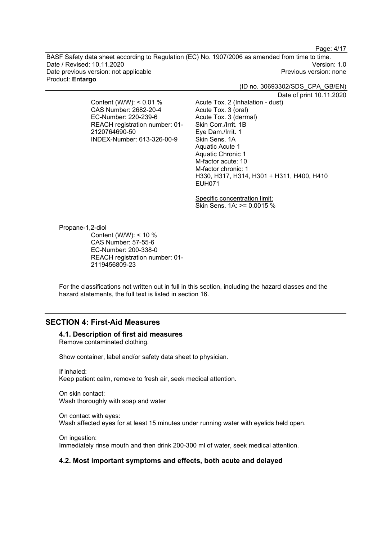Page: 4/17

BASF Safety data sheet according to Regulation (EC) No. 1907/2006 as amended from time to time. Date / Revised: 10.11.2020<br>Date previous version: not applicable  $\qquad \qquad$   $\qquad \qquad$  Previous version: none Date previous version: not applicable Product: **Entargo**

(ID no. 30693302/SDS\_CPA\_GB/EN)

Date of print 10.11.2020

Content (W/W): < 0.01 % CAS Number: 2682-20-4 EC-Number: 220-239-6 REACH registration number: 01- 2120764690-50 INDEX-Number: 613-326-00-9

Acute Tox. 2 (Inhalation - dust) Acute Tox. 3 (oral) Acute Tox. 3 (dermal) Skin Corr./Irrit. 1B Eye Dam./Irrit. 1 Skin Sens. 1A Aquatic Acute 1 Aquatic Chronic 1 M-factor acute: 10 M-factor chronic: 1 H330, H317, H314, H301 + H311, H400, H410 EUH071

Specific concentration limit: Skin Sens. 1A: >= 0.0015 %

Propane-1,2-diol

Content (W/W): < 10 % CAS Number: 57-55-6 EC-Number: 200-338-0 REACH registration number: 01- 2119456809-23

For the classifications not written out in full in this section, including the hazard classes and the hazard statements, the full text is listed in section 16.

## **SECTION 4: First-Aid Measures**

### **4.1. Description of first aid measures**

Remove contaminated clothing.

Show container, label and/or safety data sheet to physician.

If inhaled: Keep patient calm, remove to fresh air, seek medical attention.

On skin contact: Wash thoroughly with soap and water

On contact with eyes: Wash affected eyes for at least 15 minutes under running water with eyelids held open.

On ingestion: Immediately rinse mouth and then drink 200-300 ml of water, seek medical attention.

### **4.2. Most important symptoms and effects, both acute and delayed**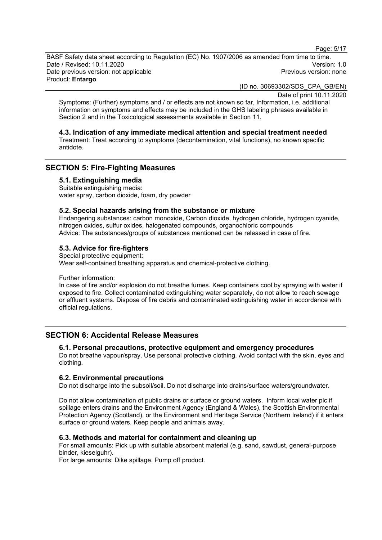Page: 5/17

BASF Safety data sheet according to Regulation (EC) No. 1907/2006 as amended from time to time. Date / Revised: 10.11.2020<br>Date previous version: not applicable  $\qquad \qquad$   $\qquad \qquad$  Previous version: none Date previous version: not applicable Product: **Entargo**

(ID no. 30693302/SDS\_CPA\_GB/EN)

Date of print 10.11.2020

Symptoms: (Further) symptoms and / or effects are not known so far, Information, i.e. additional information on symptoms and effects may be included in the GHS labeling phrases available in Section 2 and in the Toxicological assessments available in Section 11.

### **4.3. Indication of any immediate medical attention and special treatment needed**

Treatment: Treat according to symptoms (decontamination, vital functions), no known specific antidote.

## **SECTION 5: Fire-Fighting Measures**

## **5.1. Extinguishing media**

Suitable extinguishing media: water spray, carbon dioxide, foam, dry powder

### **5.2. Special hazards arising from the substance or mixture**

Endangering substances: carbon monoxide, Carbon dioxide, hydrogen chloride, hydrogen cyanide, nitrogen oxides, sulfur oxides, halogenated compounds, organochloric compounds Advice: The substances/groups of substances mentioned can be released in case of fire.

## **5.3. Advice for fire-fighters**

Special protective equipment: Wear self-contained breathing apparatus and chemical-protective clothing.

Further information:

In case of fire and/or explosion do not breathe fumes. Keep containers cool by spraying with water if exposed to fire. Collect contaminated extinguishing water separately, do not allow to reach sewage or effluent systems. Dispose of fire debris and contaminated extinguishing water in accordance with official regulations.

## **SECTION 6: Accidental Release Measures**

## **6.1. Personal precautions, protective equipment and emergency procedures**

Do not breathe vapour/spray. Use personal protective clothing. Avoid contact with the skin, eyes and clothing.

### **6.2. Environmental precautions**

Do not discharge into the subsoil/soil. Do not discharge into drains/surface waters/groundwater.

Do not allow contamination of public drains or surface or ground waters. Inform local water plc if spillage enters drains and the Environment Agency (England & Wales), the Scottish Environmental Protection Agency (Scotland), or the Environment and Heritage Service (Northern Ireland) if it enters surface or ground waters. Keep people and animals away.

## **6.3. Methods and material for containment and cleaning up**

For small amounts: Pick up with suitable absorbent material (e.g. sand, sawdust, general-purpose binder, kieselguhr).

For large amounts: Dike spillage. Pump off product.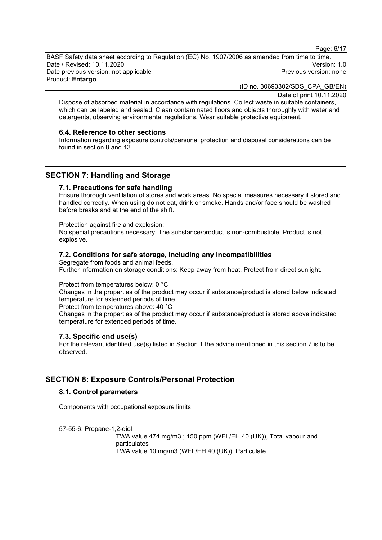Page: 6/17

BASF Safety data sheet according to Regulation (EC) No. 1907/2006 as amended from time to time. Date / Revised: 10.11.2020<br>Date previous version: not applicable  $\qquad \qquad$  Previous version: none Date previous version: not applicable

Product: **Entargo**

(ID no. 30693302/SDS\_CPA\_GB/EN)

Date of print 10.11.2020

Dispose of absorbed material in accordance with regulations. Collect waste in suitable containers, which can be labeled and sealed. Clean contaminated floors and objects thoroughly with water and detergents, observing environmental regulations. Wear suitable protective equipment.

### **6.4. Reference to other sections**

Information regarding exposure controls/personal protection and disposal considerations can be found in section 8 and 13.

## **SECTION 7: Handling and Storage**

### **7.1. Precautions for safe handling**

Ensure thorough ventilation of stores and work areas. No special measures necessary if stored and handled correctly. When using do not eat, drink or smoke. Hands and/or face should be washed before breaks and at the end of the shift.

Protection against fire and explosion:

No special precautions necessary. The substance/product is non-combustible. Product is not explosive.

## **7.2. Conditions for safe storage, including any incompatibilities**

Segregate from foods and animal feeds. Further information on storage conditions: Keep away from heat. Protect from direct sunlight.

Protect from temperatures below: 0 °C

Changes in the properties of the product may occur if substance/product is stored below indicated temperature for extended periods of time.

Protect from temperatures above: 40 °C

Changes in the properties of the product may occur if substance/product is stored above indicated temperature for extended periods of time.

## **7.3. Specific end use(s)**

For the relevant identified use(s) listed in Section 1 the advice mentioned in this section 7 is to be observed.

## **SECTION 8: Exposure Controls/Personal Protection**

## **8.1. Control parameters**

Components with occupational exposure limits

57-55-6: Propane-1,2-diol TWA value 474 mg/m3 ; 150 ppm (WEL/EH 40 (UK)), Total vapour and particulates TWA value 10 mg/m3 (WEL/EH 40 (UK)), Particulate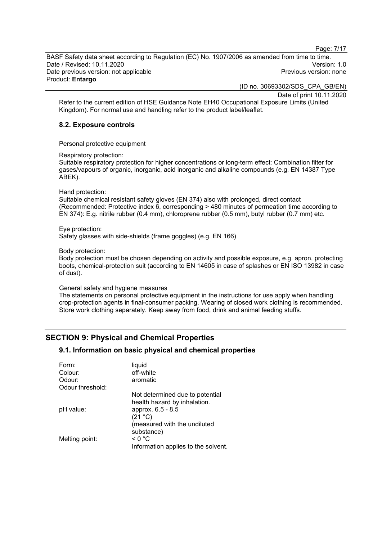Page: 7/17

BASF Safety data sheet according to Regulation (EC) No. 1907/2006 as amended from time to time. Date / Revised: 10.11.2020<br>Date previous version: not applicable  $\qquad \qquad$   $\qquad \qquad$  Previous version: none Date previous version: not applicable Product: **Entargo**

(ID no. 30693302/SDS\_CPA\_GB/EN)

Date of print 10.11.2020

Refer to the current edition of HSE Guidance Note EH40 Occupational Exposure Limits (United Kingdom). For normal use and handling refer to the product label/leaflet.

## **8.2. Exposure controls**

Personal protective equipment

Respiratory protection:

Suitable respiratory protection for higher concentrations or long-term effect: Combination filter for gases/vapours of organic, inorganic, acid inorganic and alkaline compounds (e.g. EN 14387 Type ABEK).

#### Hand protection:

Suitable chemical resistant safety gloves (EN 374) also with prolonged, direct contact (Recommended: Protective index 6, corresponding > 480 minutes of permeation time according to EN 374): E.g. nitrile rubber (0.4 mm), chloroprene rubber (0.5 mm), butyl rubber (0.7 mm) etc.

#### Eye protection:

Safety glasses with side-shields (frame goggles) (e.g. EN 166)

#### Body protection:

Body protection must be chosen depending on activity and possible exposure, e.g. apron, protecting boots, chemical-protection suit (according to EN 14605 in case of splashes or EN ISO 13982 in case of dust).

### General safety and hygiene measures

The statements on personal protective equipment in the instructions for use apply when handling crop-protection agents in final-consumer packing. Wearing of closed work clothing is recommended. Store work clothing separately. Keep away from food, drink and animal feeding stuffs.

## **SECTION 9: Physical and Chemical Properties**

### **9.1. Information on basic physical and chemical properties**

| Form:            | liquid                                                                                          |
|------------------|-------------------------------------------------------------------------------------------------|
| Colour:          | off-white                                                                                       |
| Odour:           | aromatic                                                                                        |
| Odour threshold: |                                                                                                 |
| pH value:        | Not determined due to potential<br>health hazard by inhalation.<br>approx. 6.5 - 8.5<br>(21 °C) |
| Melting point:   | (measured with the undiluted<br>substance)<br>$\leq 0$ °C                                       |
|                  | Information applies to the solvent.                                                             |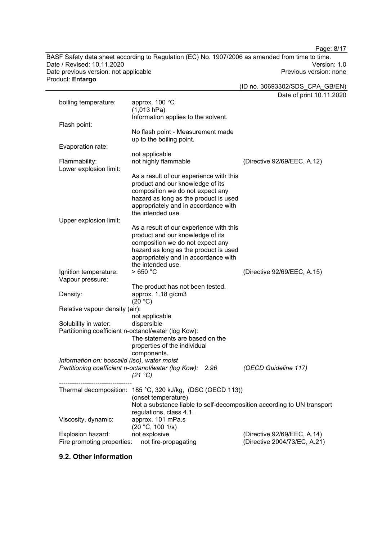Page: 8/17

BASF Safety data sheet according to Regulation (EC) No. 1907/2006 as amended from time to time. Date / Revised: 10.11.2020<br>
Date previous version: not applicable<br>
Date previous version: not applicable<br>
Date previous version: none Date previous version: not applicable Product: **Entargo**

(ID no. 30693302/SDS\_CPA\_GB/EN)

Date of print 10.11.2020

|                                                     |                                                                        | Date of print TU.TT.2        |
|-----------------------------------------------------|------------------------------------------------------------------------|------------------------------|
| boiling temperature:                                | approx. 100 °C                                                         |                              |
|                                                     | (1,013 hPa)                                                            |                              |
|                                                     | Information applies to the solvent.                                    |                              |
| Flash point:                                        |                                                                        |                              |
|                                                     | No flash point - Measurement made                                      |                              |
|                                                     | up to the boiling point.                                               |                              |
| Evaporation rate:                                   |                                                                        |                              |
|                                                     | not applicable                                                         |                              |
| Flammability:                                       | not highly flammable                                                   | (Directive 92/69/EEC, A.12)  |
| Lower explosion limit:                              |                                                                        |                              |
|                                                     | As a result of our experience with this                                |                              |
|                                                     | product and our knowledge of its                                       |                              |
|                                                     | composition we do not expect any                                       |                              |
|                                                     | hazard as long as the product is used                                  |                              |
|                                                     | appropriately and in accordance with<br>the intended use.              |                              |
|                                                     |                                                                        |                              |
| Upper explosion limit:                              | As a result of our experience with this                                |                              |
|                                                     | product and our knowledge of its                                       |                              |
|                                                     | composition we do not expect any                                       |                              |
|                                                     | hazard as long as the product is used                                  |                              |
|                                                     | appropriately and in accordance with                                   |                              |
|                                                     | the intended use.                                                      |                              |
| Ignition temperature:                               | >650 °C                                                                | (Directive 92/69/EEC, A.15)  |
| Vapour pressure:                                    |                                                                        |                              |
|                                                     | The product has not been tested.                                       |                              |
| Density:                                            | approx. 1.18 g/cm3                                                     |                              |
|                                                     | (20 °C)                                                                |                              |
| Relative vapour density (air):                      |                                                                        |                              |
|                                                     | not applicable                                                         |                              |
| Solubility in water:                                | dispersible                                                            |                              |
| Partitioning coefficient n-octanol/water (log Kow): |                                                                        |                              |
|                                                     | The statements are based on the                                        |                              |
|                                                     | properties of the individual                                           |                              |
|                                                     | components.                                                            |                              |
| Information on: boscalid (iso), water moist         |                                                                        |                              |
|                                                     | Partitioning coefficient n-octanol/water (log Kow):<br>2.96            | (OECD Guideline 117)         |
|                                                     | $(21 \degree C)$                                                       |                              |
|                                                     | Thermal decomposition: 185 °C, 320 kJ/kg, (DSC (OECD 113))             |                              |
|                                                     | (onset temperature)                                                    |                              |
|                                                     | Not a substance liable to self-decomposition according to UN transport |                              |
|                                                     | regulations, class 4.1.                                                |                              |
| Viscosity, dynamic:                                 | approx. 101 mPa.s                                                      |                              |
|                                                     | (20 °C, 100 1/s)                                                       |                              |
| Explosion hazard:                                   | not explosive                                                          | (Directive 92/69/EEC, A.14)  |
| Fire promoting properties:                          | not fire-propagating                                                   | (Directive 2004/73/EC, A.21) |
|                                                     |                                                                        |                              |

## **9.2. Other information**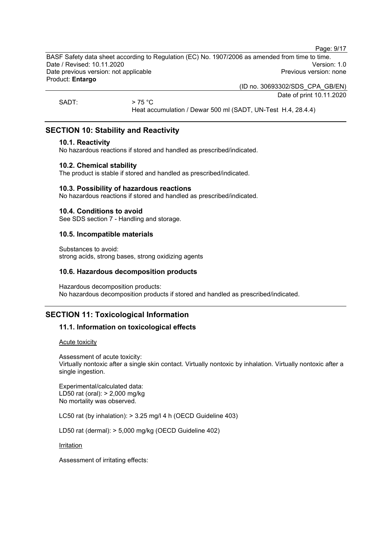Page: 9/17

BASF Safety data sheet according to Regulation (EC) No. 1907/2006 as amended from time to time. Date / Revised: 10.11.2020<br>Date previous version: not applicable  $\qquad \qquad$  Previous version: none Date previous version: not applicable Product: **Entargo**

(ID no. 30693302/SDS\_CPA\_GB/EN)

Date of print 10.11.2020

SADT:  $> 75 \degree C$ 

Heat accumulation / Dewar 500 ml (SADT, UN-Test H.4, 28.4.4)

## **SECTION 10: Stability and Reactivity**

### **10.1. Reactivity**

No hazardous reactions if stored and handled as prescribed/indicated.

## **10.2. Chemical stability**

The product is stable if stored and handled as prescribed/indicated.

### **10.3. Possibility of hazardous reactions**

No hazardous reactions if stored and handled as prescribed/indicated.

## **10.4. Conditions to avoid**

See SDS section 7 - Handling and storage.

## **10.5. Incompatible materials**

Substances to avoid: strong acids, strong bases, strong oxidizing agents

## **10.6. Hazardous decomposition products**

Hazardous decomposition products: No hazardous decomposition products if stored and handled as prescribed/indicated.

## **SECTION 11: Toxicological Information**

## **11.1. Information on toxicological effects**

Acute toxicity

Assessment of acute toxicity: Virtually nontoxic after a single skin contact. Virtually nontoxic by inhalation. Virtually nontoxic after a single ingestion.

Experimental/calculated data: LD50 rat (oral): > 2,000 mg/kg No mortality was observed.

LC50 rat (by inhalation): > 3.25 mg/l 4 h (OECD Guideline 403)

LD50 rat (dermal): > 5,000 mg/kg (OECD Guideline 402)

Irritation

Assessment of irritating effects: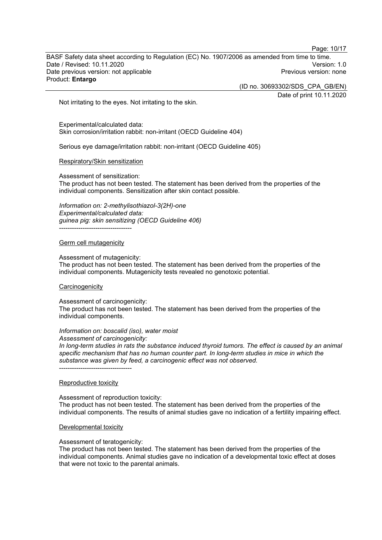BASF Safety data sheet according to Regulation (EC) No. 1907/2006 as amended from time to time. Date / Revised: 10.11.2020<br>Date previous version: not applicable  $\qquad \qquad$   $\qquad \qquad$  Previous version: none Date previous version: not applicable Product: **Entargo**

(ID no. 30693302/SDS\_CPA\_GB/EN)

Date of print 10.11.2020

Page: 10/17

Not irritating to the eyes. Not irritating to the skin.

Experimental/calculated data: Skin corrosion/irritation rabbit: non-irritant (OECD Guideline 404)

Serious eye damage/irritation rabbit: non-irritant (OECD Guideline 405)

#### Respiratory/Skin sensitization

Assessment of sensitization:

The product has not been tested. The statement has been derived from the properties of the individual components. Sensitization after skin contact possible.

*Information on: 2-methylisothiazol-3(2H)-one Experimental/calculated data: guinea pig: skin sensitizing (OECD Guideline 406)* ----------------------------------

#### Germ cell mutagenicity

Assessment of mutagenicity:

The product has not been tested. The statement has been derived from the properties of the individual components. Mutagenicity tests revealed no genotoxic potential.

#### **Carcinogenicity**

Assessment of carcinogenicity: The product has not been tested. The statement has been derived from the properties of the individual components.

#### *Information on: boscalid (iso), water moist*

*Assessment of carcinogenicity:*

*In long-term studies in rats the substance induced thyroid tumors. The effect is caused by an animal specific mechanism that has no human counter part. In long-term studies in mice in which the substance was given by feed, a carcinogenic effect was not observed.*

#### Reproductive toxicity

----------------------------------

Assessment of reproduction toxicity: The product has not been tested. The statement has been derived from the properties of the individual components. The results of animal studies gave no indication of a fertility impairing effect.

#### Developmental toxicity

Assessment of teratogenicity:

The product has not been tested. The statement has been derived from the properties of the individual components. Animal studies gave no indication of a developmental toxic effect at doses that were not toxic to the parental animals.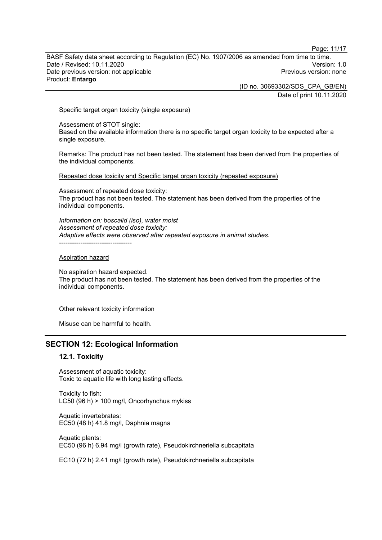Page: 11/17

BASF Safety data sheet according to Regulation (EC) No. 1907/2006 as amended from time to time. Date / Revised: 10.11.2020<br>Date previous version: not applicable  $\qquad \qquad$   $\qquad \qquad$  Previous version: none Date previous version: not applicable Product: **Entargo**

(ID no. 30693302/SDS\_CPA\_GB/EN)

Date of print 10.11.2020

#### Specific target organ toxicity (single exposure)

Assessment of STOT single: Based on the available information there is no specific target organ toxicity to be expected after a single exposure.

Remarks: The product has not been tested. The statement has been derived from the properties of the individual components.

Repeated dose toxicity and Specific target organ toxicity (repeated exposure)

Assessment of repeated dose toxicity: The product has not been tested. The statement has been derived from the properties of the individual components.

*Information on: boscalid (iso), water moist Assessment of repeated dose toxicity: Adaptive effects were observed after repeated exposure in animal studies.* ----------------------------------

#### Aspiration hazard

No aspiration hazard expected. The product has not been tested. The statement has been derived from the properties of the individual components.

#### Other relevant toxicity information

Misuse can be harmful to health.

### **SECTION 12: Ecological Information**

#### **12.1. Toxicity**

Assessment of aquatic toxicity: Toxic to aquatic life with long lasting effects.

Toxicity to fish: LC50 (96 h) > 100 mg/l, Oncorhynchus mykiss

Aquatic invertebrates: EC50 (48 h) 41.8 mg/l, Daphnia magna

Aquatic plants: EC50 (96 h) 6.94 mg/l (growth rate), Pseudokirchneriella subcapitata

EC10 (72 h) 2.41 mg/l (growth rate), Pseudokirchneriella subcapitata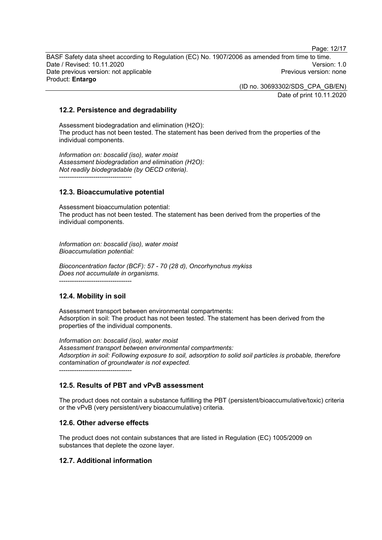Page: 12/17

BASF Safety data sheet according to Regulation (EC) No. 1907/2006 as amended from time to time. Date / Revised: 10.11.2020<br>Date previous version: not applicable  $\qquad \qquad$   $\qquad \qquad$  Previous version: none Date previous version: not applicable Product: **Entargo**

> (ID no. 30693302/SDS\_CPA\_GB/EN) Date of print 10.11.2020

## **12.2. Persistence and degradability**

Assessment biodegradation and elimination (H2O): The product has not been tested. The statement has been derived from the properties of the individual components.

*Information on: boscalid (iso), water moist Assessment biodegradation and elimination (H2O): Not readily biodegradable (by OECD criteria).* ----------------------------------

## **12.3. Bioaccumulative potential**

Assessment bioaccumulation potential: The product has not been tested. The statement has been derived from the properties of the individual components.

*Information on: boscalid (iso), water moist Bioaccumulation potential:*

*Bioconcentration factor (BCF): 57 - 70 (28 d), Oncorhynchus mykiss Does not accumulate in organisms.*

----------------------------------

## **12.4. Mobility in soil**

Assessment transport between environmental compartments: Adsorption in soil: The product has not been tested. The statement has been derived from the properties of the individual components.

*Information on: boscalid (iso), water moist Assessment transport between environmental compartments: Adsorption in soil: Following exposure to soil, adsorption to solid soil particles is probable, therefore contamination of groundwater is not expected.* ----------------------------------

## **12.5. Results of PBT and vPvB assessment**

The product does not contain a substance fulfilling the PBT (persistent/bioaccumulative/toxic) criteria or the vPvB (very persistent/very bioaccumulative) criteria.

## **12.6. Other adverse effects**

The product does not contain substances that are listed in Regulation (EC) 1005/2009 on substances that deplete the ozone layer.

## **12.7. Additional information**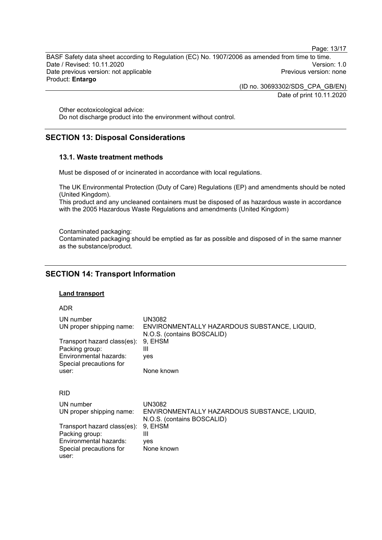BASF Safety data sheet according to Regulation (EC) No. 1907/2006 as amended from time to time. Date / Revised: 10.11.2020<br>
Date previous version: not applicable<br>
Date previous version: not applicable<br>
Date previous version: none Date previous version: not applicable Product: **Entargo**

(ID no. 30693302/SDS\_CPA\_GB/EN)

Date of print 10.11.2020

Page: 13/17

Other ecotoxicological advice: Do not discharge product into the environment without control.

## **SECTION 13: Disposal Considerations**

## **13.1. Waste treatment methods**

Must be disposed of or incinerated in accordance with local regulations.

The UK Environmental Protection (Duty of Care) Regulations (EP) and amendments should be noted (United Kingdom).

This product and any uncleaned containers must be disposed of as hazardous waste in accordance with the 2005 Hazardous Waste Regulations and amendments (United Kingdom)

Contaminated packaging:

Contaminated packaging should be emptied as far as possible and disposed of in the same manner as the substance/product.

## **SECTION 14: Transport Information**

## **Land transport**

ADR

| UN number<br>UN proper shipping name:<br>Transport hazard class(es):<br>Packing group:<br>Environmental hazards:<br>Special precautions for<br>user: | UN3082<br>ENVIRONMENTALLY HAZARDOUS SUBSTANCE, LIQUID,<br>N.O.S. (contains BOSCALID)<br>9, EHSM<br>Ш<br>yes<br>None known |
|------------------------------------------------------------------------------------------------------------------------------------------------------|---------------------------------------------------------------------------------------------------------------------------|
| <b>RID</b>                                                                                                                                           |                                                                                                                           |
| UN number<br>UN proper shipping name:                                                                                                                | <b>UN3082</b><br>ENVIRONMENTALLY HAZARDOUS SUBSTANCE, LIQUID,<br>N.O.S. (contains BOSCALID)                               |
| Transport hazard class(es):<br>Packing group:<br>Environmental hazards:<br>Special precautions for<br>user:                                          | 9, EHSM<br>$\mathbf{III}$<br><b>ves</b><br>None known                                                                     |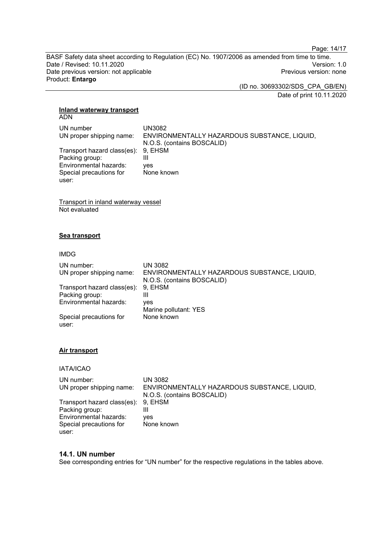Page: 14/17

BASF Safety data sheet according to Regulation (EC) No. 1907/2006 as amended from time to time. Date / Revised: 10.11.2020<br>
Date previous version: not applicable<br>
Date previous version: not applicable<br>
Date previous version: none Date previous version: not applicable Product: **Entargo**

(ID no. 30693302/SDS\_CPA\_GB/EN)

Date of print 10.11.2020

## **Inland waterway transport**

ADN

| UN number                           | UN3082                                       |
|-------------------------------------|----------------------------------------------|
| UN proper shipping name:            | ENVIRONMENTALLY HAZARDOUS SUBSTANCE, LIQUID, |
|                                     | N.O.S. (contains BOSCALID)                   |
| Transport hazard class(es): 9, EHSM |                                              |
| Packing group:                      | Ш                                            |
| Environmental hazards:              | ves                                          |
| Special precautions for             | None known                                   |
| user:                               |                                              |

Transport in inland waterway vessel Not evaluated

## **Sea transport**

#### IMDG

| UN number:<br>UN proper shipping name: | UN 3082<br>ENVIRONMENTALLY HAZARDOUS SUBSTANCE, LIQUID,<br>N.O.S. (contains BOSCALID) |
|----------------------------------------|---------------------------------------------------------------------------------------|
| Transport hazard class(es): 9, EHSM    |                                                                                       |
| Packing group:                         | Ш                                                                                     |
| Environmental hazards:                 | ves                                                                                   |
|                                        | Marine pollutant: YES                                                                 |
| Special precautions for<br>user:       | None known                                                                            |

### **Air transport**

IATA/ICAO

| UN number:                          | UN 3082                                      |
|-------------------------------------|----------------------------------------------|
| UN proper shipping name:            | ENVIRONMENTALLY HAZARDOUS SUBSTANCE, LIQUID, |
|                                     | N.O.S. (contains BOSCALID)                   |
| Transport hazard class(es): 9, EHSM |                                              |
| Packing group:                      |                                              |
| Environmental hazards:              | ves                                          |
| Special precautions for             | None known                                   |
| user:                               |                                              |

### **14.1. UN number**

See corresponding entries for "UN number" for the respective regulations in the tables above.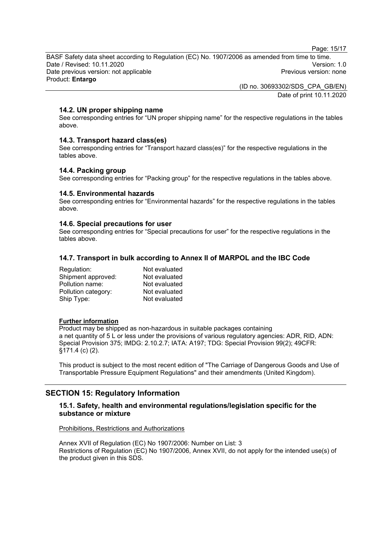Page: 15/17

BASF Safety data sheet according to Regulation (EC) No. 1907/2006 as amended from time to time. Date / Revised: 10.11.2020<br>Date previous version: not applicable  $\qquad \qquad$   $\qquad \qquad$  Previous version: none Date previous version: not applicable Product: **Entargo**

> (ID no. 30693302/SDS\_CPA\_GB/EN) Date of print 10.11.2020

## **14.2. UN proper shipping name**

See corresponding entries for "UN proper shipping name" for the respective regulations in the tables above.

### **14.3. Transport hazard class(es)**

See corresponding entries for "Transport hazard class(es)" for the respective regulations in the tables above.

#### **14.4. Packing group**

See corresponding entries for "Packing group" for the respective regulations in the tables above.

## **14.5. Environmental hazards**

See corresponding entries for "Environmental hazards" for the respective regulations in the tables above.

### **14.6. Special precautions for user**

See corresponding entries for "Special precautions for user" for the respective regulations in the tables above.

### **14.7. Transport in bulk according to Annex II of MARPOL and the IBC Code**

| Not evaluated |
|---------------|
| Not evaluated |
| Not evaluated |
| Not evaluated |
| Not evaluated |
|               |

### **Further information**

Product may be shipped as non-hazardous in suitable packages containing a net quantity of 5 L or less under the provisions of various regulatory agencies: ADR, RID, ADN: Special Provision 375; IMDG: 2.10.2.7; IATA: A197; TDG: Special Provision 99(2); 49CFR: §171.4 (c) (2).

This product is subject to the most recent edition of "The Carriage of Dangerous Goods and Use of Transportable Pressure Equipment Regulations" and their amendments (United Kingdom).

## **SECTION 15: Regulatory Information**

### **15.1. Safety, health and environmental regulations/legislation specific for the substance or mixture**

#### Prohibitions, Restrictions and Authorizations

Annex XVII of Regulation (EC) No 1907/2006: Number on List: 3 Restrictions of Regulation (EC) No 1907/2006, Annex XVII, do not apply for the intended use(s) of the product given in this SDS.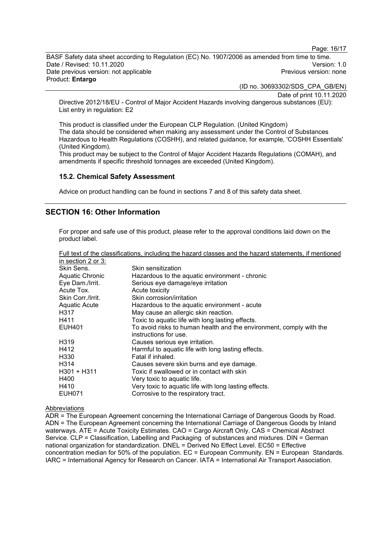Page: 16/17

BASF Safety data sheet according to Regulation (EC) No. 1907/2006 as amended from time to time. Date / Revised: 10.11.2020<br>Date previous version: not applicable  $\qquad \qquad$  Previous version: none Date previous version: not applicable Product: **Entargo**

(ID no. 30693302/SDS\_CPA\_GB/EN)

Date of print 10.11.2020

Directive 2012/18/EU - Control of Major Accident Hazards involving dangerous substances (EU): List entry in regulation: E2

This product is classified under the European CLP Regulation. (United Kingdom) The data should be considered when making any assessment under the Control of Substances Hazardous to Health Regulations (COSHH), and related guidance, for example, 'COSHH Essentials' (United Kingdom).

This product may be subject to the Control of Major Accident Hazards Regulations (COMAH), and amendments if specific threshold tonnages are exceeded (United Kingdom).

### **15.2. Chemical Safety Assessment**

Advice on product handling can be found in sections 7 and 8 of this safety data sheet.

## **SECTION 16: Other Information**

For proper and safe use of this product, please refer to the approval conditions laid down on the product label.

| Full text of the classifications, including the hazard classes and the hazard statements, if mentioned |                                                                                              |
|--------------------------------------------------------------------------------------------------------|----------------------------------------------------------------------------------------------|
| in section 2 or 3:                                                                                     |                                                                                              |
| Skin Sens.                                                                                             | Skin sensitization                                                                           |
| Aquatic Chronic                                                                                        | Hazardous to the aquatic environment - chronic                                               |
| Eye Dam./Irrit.                                                                                        | Serious eye damage/eye irritation                                                            |
| Acute Tox.                                                                                             | Acute toxicity                                                                               |
| Skin Corr./Irrit.                                                                                      | Skin corrosion/irritation                                                                    |
| <b>Aquatic Acute</b>                                                                                   | Hazardous to the aquatic environment - acute                                                 |
| H317                                                                                                   | May cause an allergic skin reaction.                                                         |
| H411                                                                                                   | Toxic to aquatic life with long lasting effects.                                             |
| <b>EUH401</b>                                                                                          | To avoid risks to human health and the environment, comply with the<br>instructions for use. |
| H319                                                                                                   | Causes serious eye irritation.                                                               |
| H412                                                                                                   | Harmful to aquatic life with long lasting effects.                                           |
| H <sub>330</sub>                                                                                       | Fatal if inhaled.                                                                            |
| H314                                                                                                   | Causes severe skin burns and eye damage.                                                     |
| $H301 + H311$                                                                                          | Toxic if swallowed or in contact with skin                                                   |
| H400                                                                                                   | Very toxic to aquatic life.                                                                  |
| H410                                                                                                   | Very toxic to aquatic life with long lasting effects.                                        |
| EUH071                                                                                                 | Corrosive to the respiratory tract.                                                          |

### Abbreviations

ADR = The European Agreement concerning the International Carriage of Dangerous Goods by Road. ADN = The European Agreement concerning the International Carriage of Dangerous Goods by Inland waterways. ATE = Acute Toxicity Estimates. CAO = Cargo Aircraft Only. CAS = Chemical Abstract Service. CLP = Classification, Labelling and Packaging of substances and mixtures. DIN = German national organization for standardization. DNEL = Derived No Effect Level. EC50 = Effective concentration median for 50% of the population. EC = European Community. EN = European Standards. IARC = International Agency for Research on Cancer. IATA = International Air Transport Association.